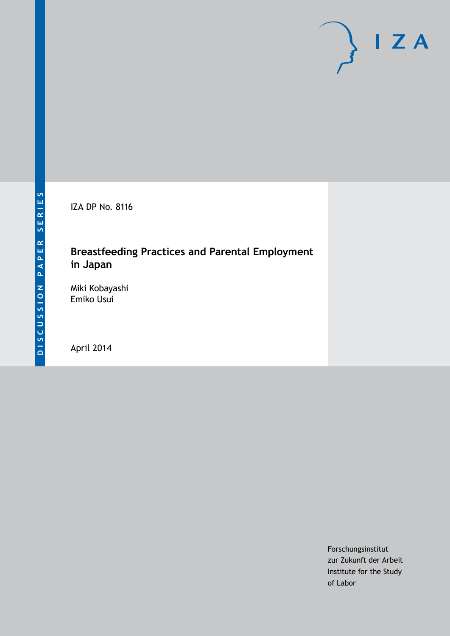

IZA DP No. 8116

## **Breastfeeding Practices and Parental Employment in Japan**

Miki Kobayashi Emiko Usui

April 2014

Forschungsinstitut zur Zukunft der Arbeit Institute for the Study of Labor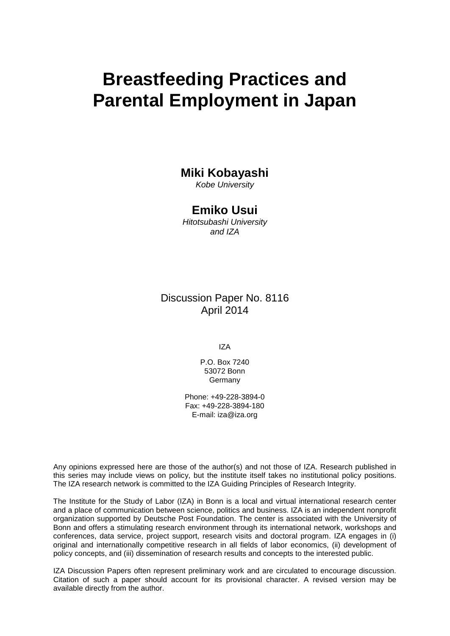# **Breastfeeding Practices and Parental Employment in Japan**

## **Miki Kobayashi**

*Kobe University*

## **Emiko Usui**

*Hitotsubashi University and IZA*

Discussion Paper No. 8116 April 2014

IZA

P.O. Box 7240 53072 Bonn **Germany** 

Phone: +49-228-3894-0 Fax: +49-228-3894-180 E-mail: [iza@iza.org](mailto:iza@iza.org)

Any opinions expressed here are those of the author(s) and not those of IZA. Research published in this series may include views on policy, but the institute itself takes no institutional policy positions. The IZA research network is committed to the IZA Guiding Principles of Research Integrity.

The Institute for the Study of Labor (IZA) in Bonn is a local and virtual international research center and a place of communication between science, politics and business. IZA is an independent nonprofit organization supported by Deutsche Post Foundation. The center is associated with the University of Bonn and offers a stimulating research environment through its international network, workshops and conferences, data service, project support, research visits and doctoral program. IZA engages in (i) original and internationally competitive research in all fields of labor economics, (ii) development of policy concepts, and (iii) dissemination of research results and concepts to the interested public.

IZA Discussion Papers often represent preliminary work and are circulated to encourage discussion. Citation of such a paper should account for its provisional character. A revised version may be available directly from the author.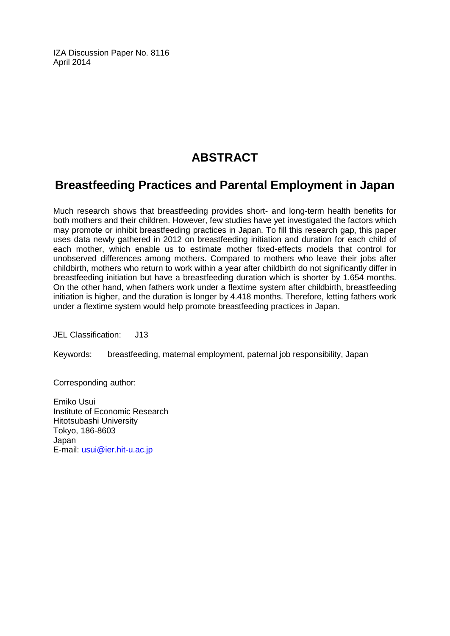IZA Discussion Paper No. 8116 April 2014

# **ABSTRACT**

# **Breastfeeding Practices and Parental Employment in Japan**

Much research shows that breastfeeding provides short- and long-term health benefits for both mothers and their children. However, few studies have yet investigated the factors which may promote or inhibit breastfeeding practices in Japan. To fill this research gap, this paper uses data newly gathered in 2012 on breastfeeding initiation and duration for each child of each mother, which enable us to estimate mother fixed-effects models that control for unobserved differences among mothers. Compared to mothers who leave their jobs after childbirth, mothers who return to work within a year after childbirth do not significantly differ in breastfeeding initiation but have a breastfeeding duration which is shorter by 1.654 months. On the other hand, when fathers work under a flextime system after childbirth, breastfeeding initiation is higher, and the duration is longer by 4.418 months. Therefore, letting fathers work under a flextime system would help promote breastfeeding practices in Japan.

JEL Classification: J13

Keywords: breastfeeding, maternal employment, paternal job responsibility, Japan

Corresponding author:

Emiko Usui Institute of Economic Research Hitotsubashi University Tokyo, 186-8603 Japan E-mail: [usui@ier.hit-u.ac.jp](mailto:usui@ier.hit-u.ac.jp)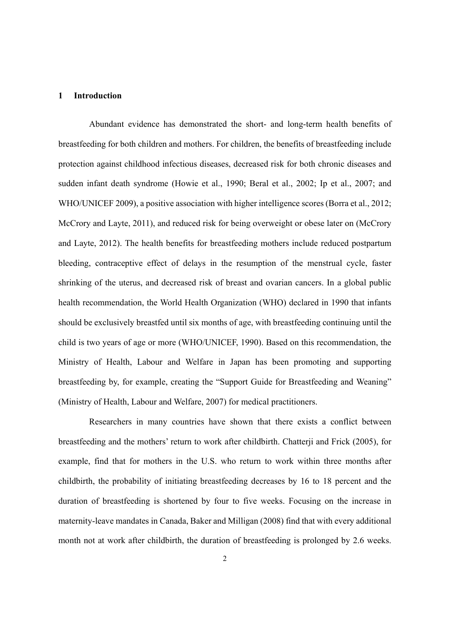#### **1 Introduction**

Abundant evidence has demonstrated the short- and long-term health benefits of breastfeeding for both children and mothers. For children, the benefits of breastfeeding include protection against childhood infectious diseases, decreased risk for both chronic diseases and sudden infant death syndrome (Howie et al., 1990; Beral et al., 2002; Ip et al., 2007; and WHO/UNICEF 2009), a positive association with higher intelligence scores (Borra et al., 2012; McCrory and Layte, 2011), and reduced risk for being overweight or obese later on (McCrory and Layte, 2012). The health benefits for breastfeeding mothers include reduced postpartum bleeding, contraceptive effect of delays in the resumption of the menstrual cycle, faster shrinking of the uterus, and decreased risk of breast and ovarian cancers. In a global public health recommendation, the World Health Organization (WHO) declared in 1990 that infants should be exclusively breastfed until six months of age, with breastfeeding continuing until the child is two years of age or more (WHO/UNICEF, 1990). Based on this recommendation, the Ministry of Health, Labour and Welfare in Japan has been promoting and supporting breastfeeding by, for example, creating the "Support Guide for Breastfeeding and Weaning" (Ministry of Health, Labour and Welfare, 2007) for medical practitioners.

Researchers in many countries have shown that there exists a conflict between breastfeeding and the mothers' return to work after childbirth. Chatterji and Frick (2005), for example, find that for mothers in the U.S. who return to work within three months after childbirth, the probability of initiating breastfeeding decreases by 16 to 18 percent and the duration of breastfeeding is shortened by four to five weeks. Focusing on the increase in maternity-leave mandates in Canada, Baker and Milligan (2008) find that with every additional month not at work after childbirth, the duration of breastfeeding is prolonged by 2.6 weeks.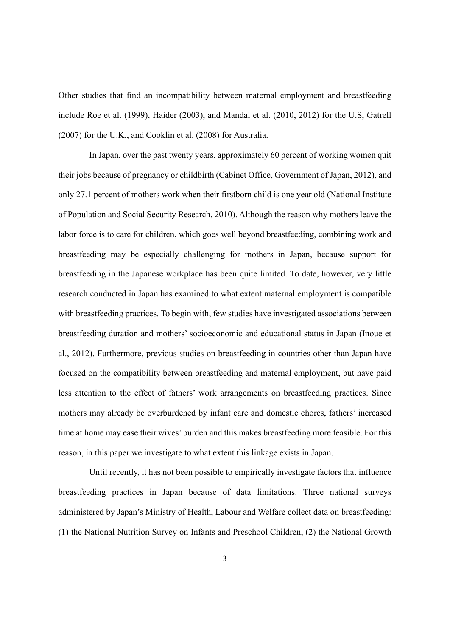Other studies that find an incompatibility between maternal employment and breastfeeding include Roe et al. (1999), Haider (2003), and Mandal et al. (2010, 2012) for the U.S, Gatrell (2007) for the U.K., and Cooklin et al. (2008) for Australia.

In Japan, over the past twenty years, approximately 60 percent of working women quit their jobs because of pregnancy or childbirth (Cabinet Office, Government of Japan, 2012), and only 27.1 percent of mothers work when their firstborn child is one year old (National Institute of Population and Social Security Research, 2010). Although the reason why mothers leave the labor force is to care for children, which goes well beyond breastfeeding, combining work and breastfeeding may be especially challenging for mothers in Japan, because support for breastfeeding in the Japanese workplace has been quite limited. To date, however, very little research conducted in Japan has examined to what extent maternal employment is compatible with breastfeeding practices. To begin with, few studies have investigated associations between breastfeeding duration and mothers' socioeconomic and educational status in Japan (Inoue et al., 2012). Furthermore, previous studies on breastfeeding in countries other than Japan have focused on the compatibility between breastfeeding and maternal employment, but have paid less attention to the effect of fathers' work arrangements on breastfeeding practices. Since mothers may already be overburdened by infant care and domestic chores, fathers' increased time at home may ease their wives' burden and this makes breastfeeding more feasible. For this reason, in this paper we investigate to what extent this linkage exists in Japan.

 Until recently, it has not been possible to empirically investigate factors that influence breastfeeding practices in Japan because of data limitations. Three national surveys administered by Japan's Ministry of Health, Labour and Welfare collect data on breastfeeding: (1) the National Nutrition Survey on Infants and Preschool Children, (2) the National Growth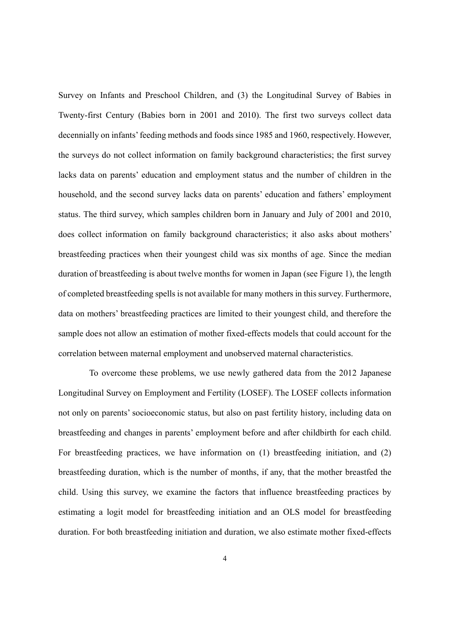Survey on Infants and Preschool Children, and (3) the Longitudinal Survey of Babies in Twenty-first Century (Babies born in 2001 and 2010). The first two surveys collect data decennially on infants' feeding methods and foods since 1985 and 1960, respectively. However, the surveys do not collect information on family background characteristics; the first survey lacks data on parents' education and employment status and the number of children in the household, and the second survey lacks data on parents' education and fathers' employment status. The third survey, which samples children born in January and July of 2001 and 2010, does collect information on family background characteristics; it also asks about mothers' breastfeeding practices when their youngest child was six months of age. Since the median duration of breastfeeding is about twelve months for women in Japan (see Figure 1), the length of completed breastfeeding spells is not available for many mothers in this survey. Furthermore, data on mothers' breastfeeding practices are limited to their youngest child, and therefore the sample does not allow an estimation of mother fixed-effects models that could account for the correlation between maternal employment and unobserved maternal characteristics.

To overcome these problems, we use newly gathered data from the 2012 Japanese Longitudinal Survey on Employment and Fertility (LOSEF). The LOSEF collects information not only on parents' socioeconomic status, but also on past fertility history, including data on breastfeeding and changes in parents' employment before and after childbirth for each child. For breastfeeding practices, we have information on (1) breastfeeding initiation, and (2) breastfeeding duration, which is the number of months, if any, that the mother breastfed the child. Using this survey, we examine the factors that influence breastfeeding practices by estimating a logit model for breastfeeding initiation and an OLS model for breastfeeding duration. For both breastfeeding initiation and duration, we also estimate mother fixed-effects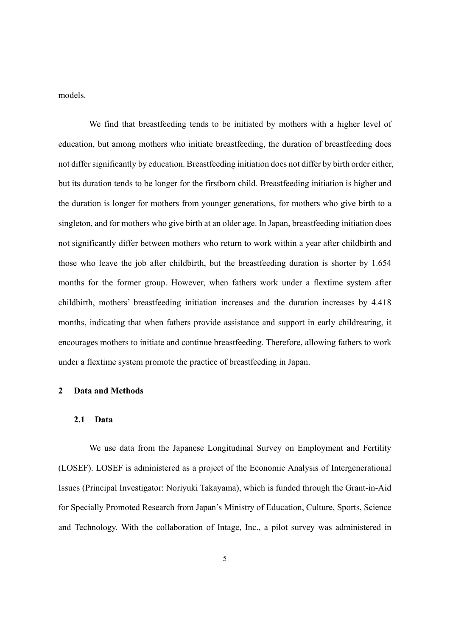models.

We find that breastfeeding tends to be initiated by mothers with a higher level of education, but among mothers who initiate breastfeeding, the duration of breastfeeding does not differ significantly by education. Breastfeeding initiation does not differ by birth order either, but its duration tends to be longer for the firstborn child. Breastfeeding initiation is higher and the duration is longer for mothers from younger generations, for mothers who give birth to a singleton, and for mothers who give birth at an older age. In Japan, breastfeeding initiation does not significantly differ between mothers who return to work within a year after childbirth and those who leave the job after childbirth, but the breastfeeding duration is shorter by 1.654 months for the former group. However, when fathers work under a flextime system after childbirth, mothers' breastfeeding initiation increases and the duration increases by 4.418 months, indicating that when fathers provide assistance and support in early childrearing, it encourages mothers to initiate and continue breastfeeding. Therefore, allowing fathers to work under a flextime system promote the practice of breastfeeding in Japan.

#### **2 Data and Methods**

#### **2.1 Data**

We use data from the Japanese Longitudinal Survey on Employment and Fertility (LOSEF). LOSEF is administered as a project of the Economic Analysis of Intergenerational Issues (Principal Investigator: Noriyuki Takayama), which is funded through the Grant-in-Aid for Specially Promoted Research from Japan's Ministry of Education, Culture, Sports, Science and Technology. With the collaboration of Intage, Inc., a pilot survey was administered in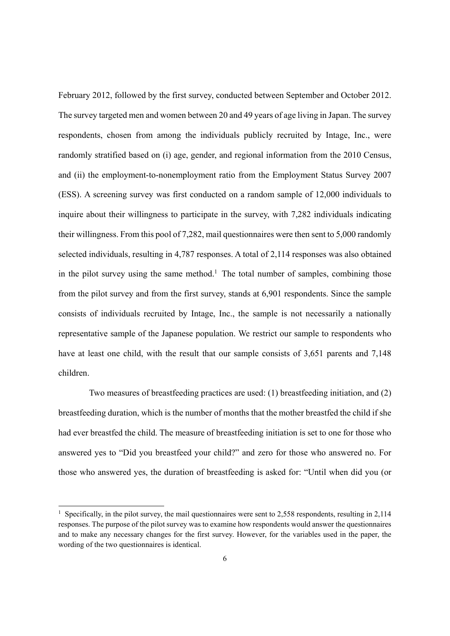February 2012, followed by the first survey, conducted between September and October 2012. The survey targeted men and women between 20 and 49 years of age living in Japan. The survey respondents, chosen from among the individuals publicly recruited by Intage, Inc., were randomly stratified based on (i) age, gender, and regional information from the 2010 Census, and (ii) the employment-to-nonemployment ratio from the Employment Status Survey 2007 (ESS). A screening survey was first conducted on a random sample of 12,000 individuals to inquire about their willingness to participate in the survey, with 7,282 individuals indicating their willingness. From this pool of 7,282, mail questionnaires were then sent to 5,000 randomly selected individuals, resulting in 4,787 responses. A total of 2,114 responses was also obtained in the pilot survey using the same method.<sup>1</sup> The total number of samples, combining those from the pilot survey and from the first survey, stands at 6,901 respondents. Since the sample consists of individuals recruited by Intage, Inc., the sample is not necessarily a nationally representative sample of the Japanese population. We restrict our sample to respondents who have at least one child, with the result that our sample consists of 3,651 parents and 7,148 children.

Two measures of breastfeeding practices are used: (1) breastfeeding initiation, and (2) breastfeeding duration, which is the number of months that the mother breastfed the child if she had ever breastfed the child. The measure of breastfeeding initiation is set to one for those who answered yes to "Did you breastfeed your child?" and zero for those who answered no. For those who answered yes, the duration of breastfeeding is asked for: "Until when did you (or

1

<sup>&</sup>lt;sup>1</sup> Specifically, in the pilot survey, the mail questionnaires were sent to 2,558 respondents, resulting in 2,114 responses. The purpose of the pilot survey was to examine how respondents would answer the questionnaires and to make any necessary changes for the first survey. However, for the variables used in the paper, the wording of the two questionnaires is identical.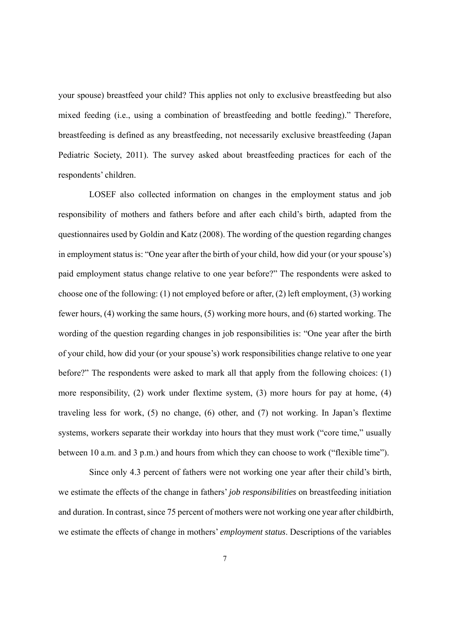your spouse) breastfeed your child? This applies not only to exclusive breastfeeding but also mixed feeding (i.e., using a combination of breastfeeding and bottle feeding)." Therefore, breastfeeding is defined as any breastfeeding, not necessarily exclusive breastfeeding (Japan Pediatric Society, 2011). The survey asked about breastfeeding practices for each of the respondents' children.

LOSEF also collected information on changes in the employment status and job responsibility of mothers and fathers before and after each child's birth, adapted from the questionnaires used by Goldin and Katz (2008). The wording of the question regarding changes in employment status is: "One year after the birth of your child, how did your (or your spouse's) paid employment status change relative to one year before?" The respondents were asked to choose one of the following: (1) not employed before or after, (2) left employment, (3) working fewer hours, (4) working the same hours, (5) working more hours, and (6) started working. The wording of the question regarding changes in job responsibilities is: "One year after the birth of your child, how did your (or your spouse's) work responsibilities change relative to one year before?" The respondents were asked to mark all that apply from the following choices: (1) more responsibility, (2) work under flextime system, (3) more hours for pay at home, (4) traveling less for work, (5) no change, (6) other, and (7) not working. In Japan's flextime systems, workers separate their workday into hours that they must work ("core time," usually between 10 a.m. and 3 p.m.) and hours from which they can choose to work ("flexible time").

Since only 4.3 percent of fathers were not working one year after their child's birth, we estimate the effects of the change in fathers' *job responsibilities* on breastfeeding initiation and duration. In contrast, since 75 percent of mothers were not working one year after childbirth, we estimate the effects of change in mothers' *employment status*. Descriptions of the variables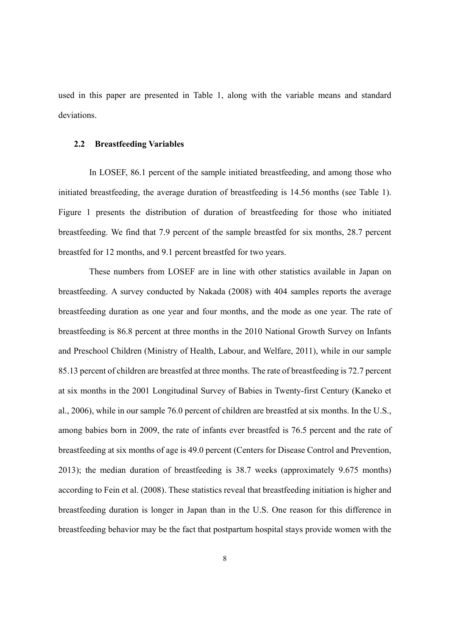used in this paper are presented in Table 1, along with the variable means and standard deviations.

#### **2.2 Breastfeeding Variables**

In LOSEF, 86.1 percent of the sample initiated breastfeeding, and among those who initiated breastfeeding, the average duration of breastfeeding is 14.56 months (see Table 1). Figure 1 presents the distribution of duration of breastfeeding for those who initiated breastfeeding. We find that 7.9 percent of the sample breastfed for six months, 28.7 percent breastfed for 12 months, and 9.1 percent breastfed for two years.

These numbers from LOSEF are in line with other statistics available in Japan on breastfeeding. A survey conducted by Nakada (2008) with 404 samples reports the average breastfeeding duration as one year and four months, and the mode as one year. The rate of breastfeeding is 86.8 percent at three months in the 2010 National Growth Survey on Infants and Preschool Children (Ministry of Health, Labour, and Welfare, 2011), while in our sample 85.13 percent of children are breastfed at three months. The rate of breastfeeding is 72.7 percent at six months in the 2001 Longitudinal Survey of Babies in Twenty-first Century (Kaneko et al., 2006), while in our sample 76.0 percent of children are breastfed at six months. In the U.S., among babies born in 2009, the rate of infants ever breastfed is 76.5 percent and the rate of breastfeeding at six months of age is 49.0 percent (Centers for Disease Control and Prevention, 2013); the median duration of breastfeeding is 38.7 weeks (approximately 9.675 months) according to Fein et al. (2008). These statistics reveal that breastfeeding initiation is higher and breastfeeding duration is longer in Japan than in the U.S. One reason for this difference in breastfeeding behavior may be the fact that postpartum hospital stays provide women with the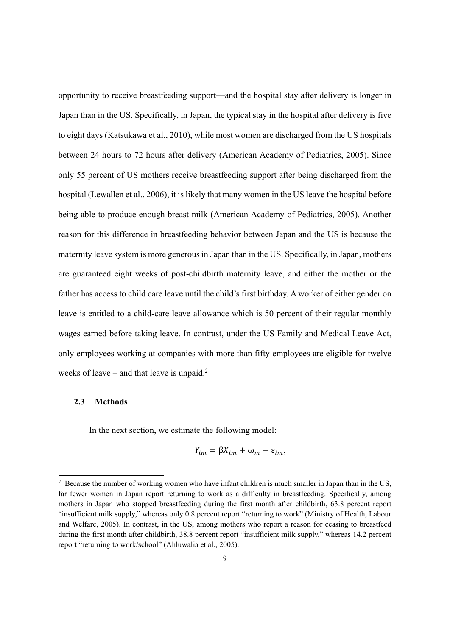opportunity to receive breastfeeding support—and the hospital stay after delivery is longer in Japan than in the US. Specifically, in Japan, the typical stay in the hospital after delivery is five to eight days (Katsukawa et al., 2010), while most women are discharged from the US hospitals between 24 hours to 72 hours after delivery (American Academy of Pediatrics, 2005). Since only 55 percent of US mothers receive breastfeeding support after being discharged from the hospital (Lewallen et al., 2006), it is likely that many women in the US leave the hospital before being able to produce enough breast milk (American Academy of Pediatrics, 2005). Another reason for this difference in breastfeeding behavior between Japan and the US is because the maternity leave system is more generous in Japan than in the US. Specifically, in Japan, mothers are guaranteed eight weeks of post-childbirth maternity leave, and either the mother or the father has access to child care leave until the child's first birthday. A worker of either gender on leave is entitled to a child-care leave allowance which is 50 percent of their regular monthly wages earned before taking leave. In contrast, under the US Family and Medical Leave Act, only employees working at companies with more than fifty employees are eligible for twelve weeks of leave – and that leave is unpaid.<sup>2</sup>

#### **2.3 Methods**

1

In the next section, we estimate the following model:

$$
Y_{im} = \beta X_{im} + \omega_m + \varepsilon_{im},
$$

<sup>&</sup>lt;sup>2</sup> Because the number of working women who have infant children is much smaller in Japan than in the US, far fewer women in Japan report returning to work as a difficulty in breastfeeding. Specifically, among mothers in Japan who stopped breastfeeding during the first month after childbirth, 63.8 percent report "insufficient milk supply," whereas only 0.8 percent report "returning to work" (Ministry of Health, Labour and Welfare, 2005). In contrast, in the US, among mothers who report a reason for ceasing to breastfeed during the first month after childbirth, 38.8 percent report "insufficient milk supply," whereas 14.2 percent report "returning to work/school" (Ahluwalia et al., 2005).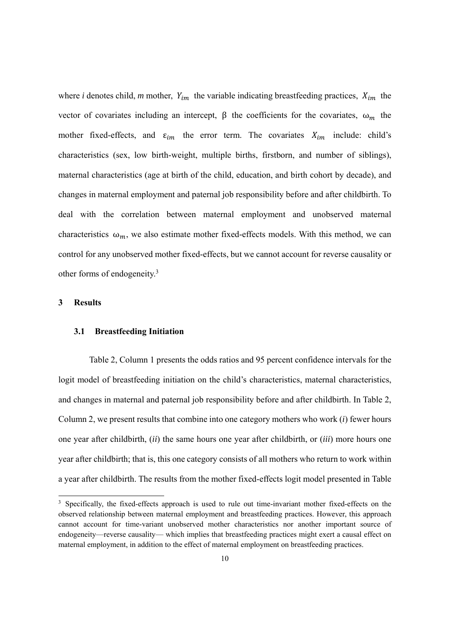where *i* denotes child, *m* mother,  $Y_{im}$  the variable indicating breastfeeding practices,  $X_{im}$  the vector of covariates including an intercept,  $\beta$  the coefficients for the covariates, ω<sub>m</sub> the mother fixed-effects, and  $\varepsilon_{im}$  the error term. The covariates  $X_{im}$  include: child's characteristics (sex, low birth-weight, multiple births, firstborn, and number of siblings), maternal characteristics (age at birth of the child, education, and birth cohort by decade), and changes in maternal employment and paternal job responsibility before and after childbirth. To deal with the correlation between maternal employment and unobserved maternal characteristics  $\omega_m$ , we also estimate mother fixed-effects models. With this method, we can control for any unobserved mother fixed-effects, but we cannot account for reverse causality or other forms of endogeneity.3

#### **3 Results**

1

#### **3.1 Breastfeeding Initiation**

Table 2, Column 1 presents the odds ratios and 95 percent confidence intervals for the logit model of breastfeeding initiation on the child's characteristics, maternal characteristics, and changes in maternal and paternal job responsibility before and after childbirth. In Table 2, Column 2, we present results that combine into one category mothers who work (*i*) fewer hours one year after childbirth, (*ii*) the same hours one year after childbirth, or (*iii*) more hours one year after childbirth; that is, this one category consists of all mothers who return to work within a year after childbirth. The results from the mother fixed-effects logit model presented in Table

<sup>&</sup>lt;sup>3</sup> Specifically, the fixed-effects approach is used to rule out time-invariant mother fixed-effects on the observed relationship between maternal employment and breastfeeding practices. However, this approach cannot account for time-variant unobserved mother characteristics nor another important source of endogeneity—reverse causality— which implies that breastfeeding practices might exert a causal effect on maternal employment, in addition to the effect of maternal employment on breastfeeding practices.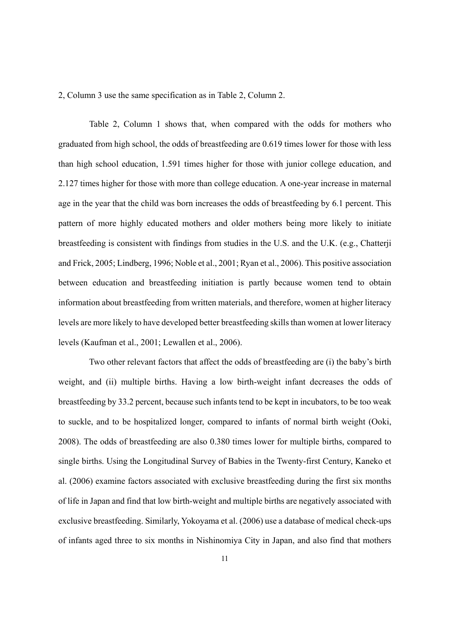2, Column 3 use the same specification as in Table 2, Column 2.

Table 2, Column 1 shows that, when compared with the odds for mothers who graduated from high school, the odds of breastfeeding are 0.619 times lower for those with less than high school education, 1.591 times higher for those with junior college education, and 2.127 times higher for those with more than college education. A one-year increase in maternal age in the year that the child was born increases the odds of breastfeeding by 6.1 percent. This pattern of more highly educated mothers and older mothers being more likely to initiate breastfeeding is consistent with findings from studies in the U.S. and the U.K. (e.g., Chatterji and Frick, 2005; Lindberg, 1996; Noble et al., 2001; Ryan et al., 2006). This positive association between education and breastfeeding initiation is partly because women tend to obtain information about breastfeeding from written materials, and therefore, women at higher literacy levels are more likely to have developed better breastfeeding skills than women at lower literacy levels (Kaufman et al., 2001; Lewallen et al., 2006).

Two other relevant factors that affect the odds of breastfeeding are (i) the baby's birth weight, and (ii) multiple births. Having a low birth-weight infant decreases the odds of breastfeeding by 33.2 percent, because such infants tend to be kept in incubators, to be too weak to suckle, and to be hospitalized longer, compared to infants of normal birth weight (Ooki, 2008). The odds of breastfeeding are also 0.380 times lower for multiple births, compared to single births. Using the Longitudinal Survey of Babies in the Twenty-first Century, Kaneko et al. (2006) examine factors associated with exclusive breastfeeding during the first six months of life in Japan and find that low birth-weight and multiple births are negatively associated with exclusive breastfeeding. Similarly, Yokoyama et al. (2006) use a database of medical check-ups of infants aged three to six months in Nishinomiya City in Japan, and also find that mothers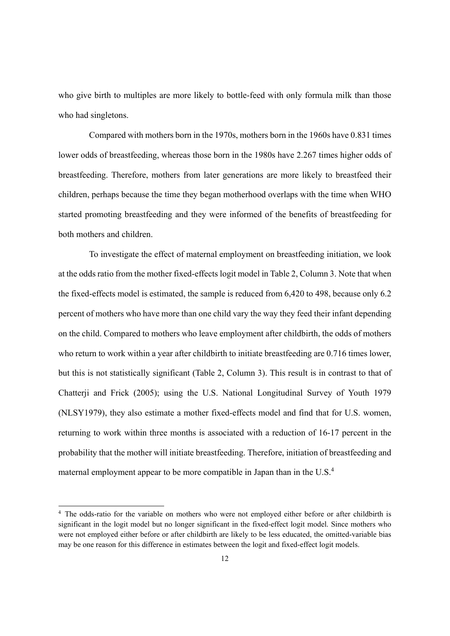who give birth to multiples are more likely to bottle-feed with only formula milk than those who had singletons.

Compared with mothers born in the 1970s, mothers born in the 1960s have 0.831 times lower odds of breastfeeding, whereas those born in the 1980s have 2.267 times higher odds of breastfeeding. Therefore, mothers from later generations are more likely to breastfeed their children, perhaps because the time they began motherhood overlaps with the time when WHO started promoting breastfeeding and they were informed of the benefits of breastfeeding for both mothers and children.

To investigate the effect of maternal employment on breastfeeding initiation, we look at the odds ratio from the mother fixed-effects logit model in Table 2, Column 3. Note that when the fixed-effects model is estimated, the sample is reduced from 6,420 to 498, because only 6.2 percent of mothers who have more than one child vary the way they feed their infant depending on the child. Compared to mothers who leave employment after childbirth, the odds of mothers who return to work within a year after childbirth to initiate breastfeeding are 0.716 times lower, but this is not statistically significant (Table 2, Column 3). This result is in contrast to that of Chatterji and Frick (2005); using the U.S. National Longitudinal Survey of Youth 1979 (NLSY1979), they also estimate a mother fixed-effects model and find that for U.S. women, returning to work within three months is associated with a reduction of 16-17 percent in the probability that the mother will initiate breastfeeding. Therefore, initiation of breastfeeding and maternal employment appear to be more compatible in Japan than in the U.S.<sup>4</sup>

1

<sup>&</sup>lt;sup>4</sup> The odds-ratio for the variable on mothers who were not employed either before or after childbirth is significant in the logit model but no longer significant in the fixed-effect logit model. Since mothers who were not employed either before or after childbirth are likely to be less educated, the omitted-variable bias may be one reason for this difference in estimates between the logit and fixed-effect logit models.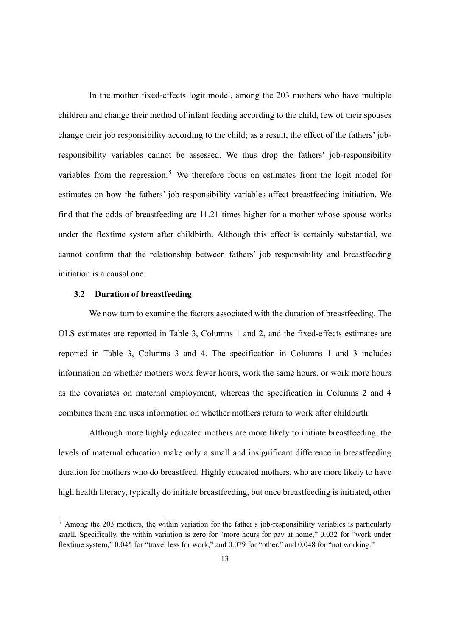In the mother fixed-effects logit model, among the 203 mothers who have multiple children and change their method of infant feeding according to the child, few of their spouses change their job responsibility according to the child; as a result, the effect of the fathers' jobresponsibility variables cannot be assessed. We thus drop the fathers' job-responsibility variables from the regression.<sup>5</sup> We therefore focus on estimates from the logit model for estimates on how the fathers' job-responsibility variables affect breastfeeding initiation. We find that the odds of breastfeeding are 11.21 times higher for a mother whose spouse works under the flextime system after childbirth. Although this effect is certainly substantial, we cannot confirm that the relationship between fathers' job responsibility and breastfeeding initiation is a causal one.

#### **3.2 Duration of breastfeeding**

 $\overline{a}$ 

We now turn to examine the factors associated with the duration of breastfeeding. The OLS estimates are reported in Table 3, Columns 1 and 2, and the fixed-effects estimates are reported in Table 3, Columns 3 and 4. The specification in Columns 1 and 3 includes information on whether mothers work fewer hours, work the same hours, or work more hours as the covariates on maternal employment, whereas the specification in Columns 2 and 4 combines them and uses information on whether mothers return to work after childbirth.

Although more highly educated mothers are more likely to initiate breastfeeding, the levels of maternal education make only a small and insignificant difference in breastfeeding duration for mothers who do breastfeed. Highly educated mothers, who are more likely to have high health literacy, typically do initiate breastfeeding, but once breastfeeding is initiated, other

<sup>&</sup>lt;sup>5</sup> Among the 203 mothers, the within variation for the father's job-responsibility variables is particularly small. Specifically, the within variation is zero for "more hours for pay at home," 0.032 for "work under flextime system," 0.045 for "travel less for work," and 0.079 for "other," and 0.048 for "not working."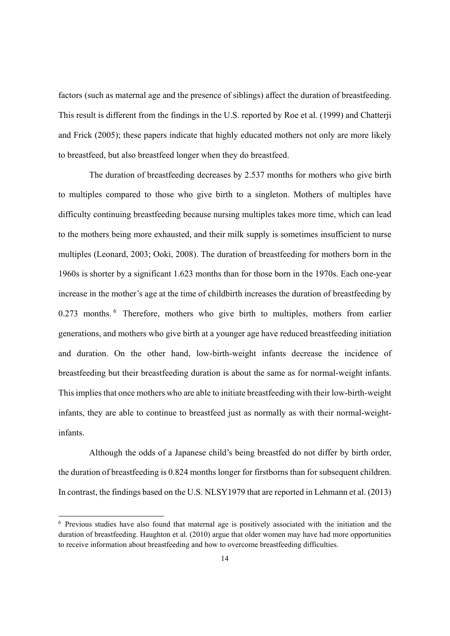factors (such as maternal age and the presence of siblings) affect the duration of breastfeeding. This result is different from the findings in the U.S. reported by Roe et al. (1999) and Chatterji and Frick (2005); these papers indicate that highly educated mothers not only are more likely to breastfeed, but also breastfeed longer when they do breastfeed.

The duration of breastfeeding decreases by 2.537 months for mothers who give birth to multiples compared to those who give birth to a singleton. Mothers of multiples have difficulty continuing breastfeeding because nursing multiples takes more time, which can lead to the mothers being more exhausted, and their milk supply is sometimes insufficient to nurse multiples (Leonard, 2003; Ooki, 2008). The duration of breastfeeding for mothers born in the 1960s is shorter by a significant 1.623 months than for those born in the 1970s. Each one-year increase in the mother's age at the time of childbirth increases the duration of breastfeeding by 0.273 months. <sup>6</sup> Therefore, mothers who give birth to multiples, mothers from earlier generations, and mothers who give birth at a younger age have reduced breastfeeding initiation and duration. On the other hand, low-birth-weight infants decrease the incidence of breastfeeding but their breastfeeding duration is about the same as for normal-weight infants. This implies that once mothers who are able to initiate breastfeeding with their low-birth-weight infants, they are able to continue to breastfeed just as normally as with their normal-weightinfants.

Although the odds of a Japanese child's being breastfed do not differ by birth order, the duration of breastfeeding is 0.824 months longer for firstborns than for subsequent children. In contrast, the findings based on the U.S. NLSY1979 that are reported in Lehmann et al. (2013)

 $\overline{a}$ 

<sup>6</sup> Previous studies have also found that maternal age is positively associated with the initiation and the duration of breastfeeding. Haughton et al. (2010) argue that older women may have had more opportunities to receive information about breastfeeding and how to overcome breastfeeding difficulties.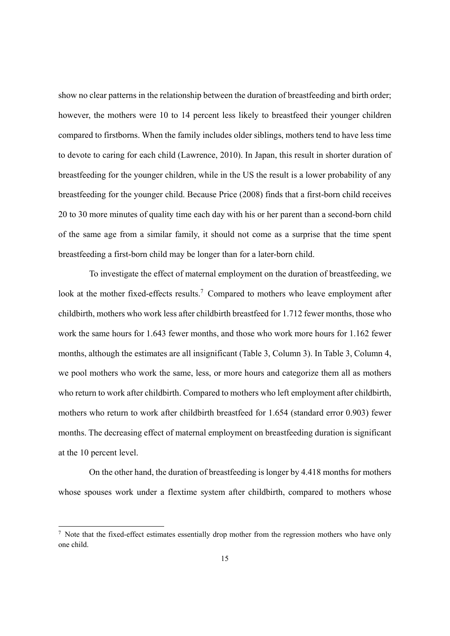show no clear patterns in the relationship between the duration of breastfeeding and birth order; however, the mothers were 10 to 14 percent less likely to breastfeed their younger children compared to firstborns. When the family includes older siblings, mothers tend to have less time to devote to caring for each child (Lawrence, 2010). In Japan, this result in shorter duration of breastfeeding for the younger children, while in the US the result is a lower probability of any breastfeeding for the younger child. Because Price (2008) finds that a first-born child receives 20 to 30 more minutes of quality time each day with his or her parent than a second-born child of the same age from a similar family, it should not come as a surprise that the time spent breastfeeding a first-born child may be longer than for a later-born child.

To investigate the effect of maternal employment on the duration of breastfeeding, we look at the mother fixed-effects results.<sup>7</sup> Compared to mothers who leave employment after childbirth, mothers who work less after childbirth breastfeed for 1.712 fewer months, those who work the same hours for 1.643 fewer months, and those who work more hours for 1.162 fewer months, although the estimates are all insignificant (Table 3, Column 3). In Table 3, Column 4, we pool mothers who work the same, less, or more hours and categorize them all as mothers who return to work after childbirth. Compared to mothers who left employment after childbirth, mothers who return to work after childbirth breastfeed for 1.654 (standard error 0.903) fewer months. The decreasing effect of maternal employment on breastfeeding duration is significant at the 10 percent level.

On the other hand, the duration of breastfeeding is longer by 4.418 months for mothers whose spouses work under a flextime system after childbirth, compared to mothers whose

1

<sup>&</sup>lt;sup>7</sup> Note that the fixed-effect estimates essentially drop mother from the regression mothers who have only one child.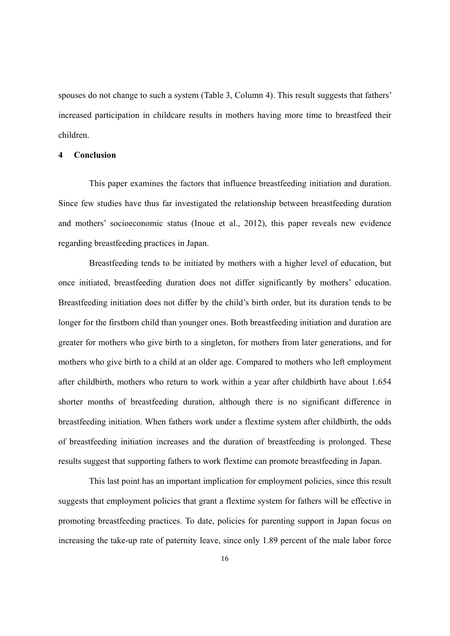spouses do not change to such a system (Table 3, Column 4). This result suggests that fathers' increased participation in childcare results in mothers having more time to breastfeed their children.

#### **4 Conclusion**

This paper examines the factors that influence breastfeeding initiation and duration. Since few studies have thus far investigated the relationship between breastfeeding duration and mothers' socioeconomic status (Inoue et al., 2012), this paper reveals new evidence regarding breastfeeding practices in Japan.

Breastfeeding tends to be initiated by mothers with a higher level of education, but once initiated, breastfeeding duration does not differ significantly by mothers' education. Breastfeeding initiation does not differ by the child's birth order, but its duration tends to be longer for the firstborn child than younger ones. Both breastfeeding initiation and duration are greater for mothers who give birth to a singleton, for mothers from later generations, and for mothers who give birth to a child at an older age. Compared to mothers who left employment after childbirth, mothers who return to work within a year after childbirth have about 1.654 shorter months of breastfeeding duration, although there is no significant difference in breastfeeding initiation. When fathers work under a flextime system after childbirth, the odds of breastfeeding initiation increases and the duration of breastfeeding is prolonged. These results suggest that supporting fathers to work flextime can promote breastfeeding in Japan.

This last point has an important implication for employment policies, since this result suggests that employment policies that grant a flextime system for fathers will be effective in promoting breastfeeding practices. To date, policies for parenting support in Japan focus on increasing the take-up rate of paternity leave, since only 1.89 percent of the male labor force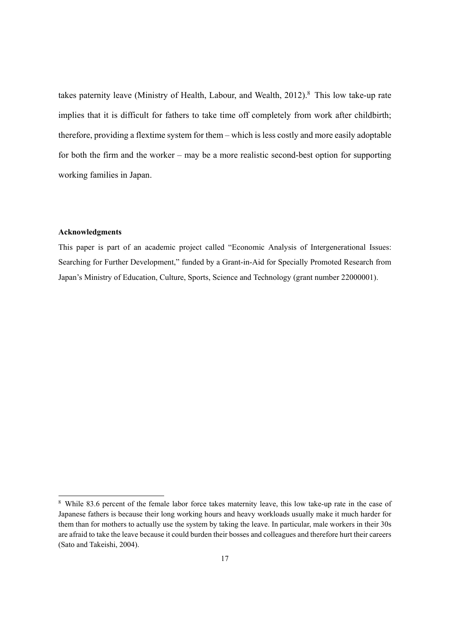takes paternity leave (Ministry of Health, Labour, and Wealth,  $2012$ ).<sup>8</sup> This low take-up rate implies that it is difficult for fathers to take time off completely from work after childbirth; therefore, providing a flextime system for them – which is less costly and more easily adoptable for both the firm and the worker – may be a more realistic second-best option for supporting working families in Japan.

#### **Acknowledgments**

1

This paper is part of an academic project called "Economic Analysis of Intergenerational Issues: Searching for Further Development," funded by a Grant-in-Aid for Specially Promoted Research from Japan's Ministry of Education, Culture, Sports, Science and Technology (grant number 22000001).

<sup>8</sup> While 83.6 percent of the female labor force takes maternity leave, this low take-up rate in the case of Japanese fathers is because their long working hours and heavy workloads usually make it much harder for them than for mothers to actually use the system by taking the leave. In particular, male workers in their 30s are afraid to take the leave because it could burden their bosses and colleagues and therefore hurt their careers (Sato and Takeishi, 2004).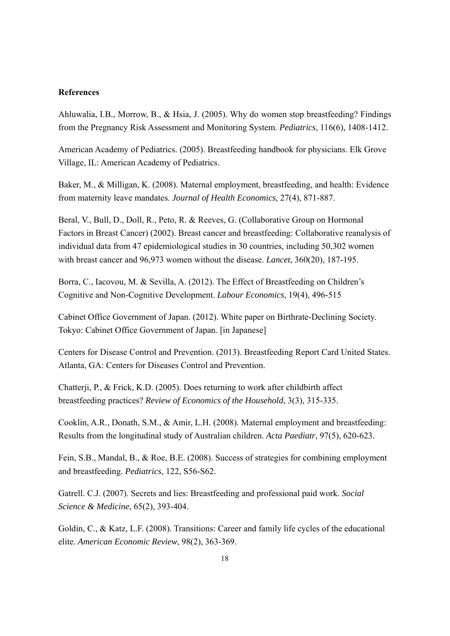#### **References**

Ahluwalia, I.B., Morrow, B., & Hsia, J. (2005). Why do women stop breastfeeding? Findings from the Pregnancy Risk Assessment and Monitoring System. *Pediatrics*, 116(6), 1408-1412.

American Academy of Pediatrics. (2005). Breastfeeding handbook for physicians. Elk Grove Village, IL: American Academy of Pediatrics.

Baker, M., & Milligan, K. (2008). Maternal employment, breastfeeding, and health: Evidence from maternity leave mandates. *Journal of Health Economics*, 27(4), 871-887.

Beral, V., Bull, D., Doll, R., Peto, R. & Reeves, G. (Collaborative Group on Hormonal Factors in Breast Cancer) (2002). Breast cancer and breastfeeding: Collaborative reanalysis of individual data from 47 epidemiological studies in 30 countries, including 50,302 women with breast cancer and 96,973 women without the disease. *Lancet*, 360(20), 187-195.

Borra, C., Iacovou, M. & Sevilla, A. (2012). The Effect of Breastfeeding on Children's Cognitive and Non-Cognitive Development. *Labour Economics*, 19(4), 496-515

Cabinet Office Government of Japan. (2012). White paper on Birthrate-Declining Society. Tokyo: Cabinet Office Government of Japan. [in Japanese]

Centers for Disease Control and Prevention. (2013). Breastfeeding Report Card United States. Atlanta, GA: Centers for Diseases Control and Prevention.

Chatterji, P., & Frick, K.D. (2005). Does returning to work after childbirth affect breastfeeding practices? *Review of Economics of the Household*, 3(3), 315-335.

Cooklin, A.R., Donath, S.M., & Amir, L.H. (2008). Maternal employment and breastfeeding: Results from the longitudinal study of Australian children. *Acta Paediatr*, 97(5), 620-623.

Fein, S.B., Mandal, B., & Roe, B.E. (2008). Success of strategies for combining employment and breastfeeding. *Pediatrics*, 122, S56-S62.

Gatrell. C.J. (2007). Secrets and lies: Breastfeeding and professional paid work. *Social Science & Medicine*, 65(2), 393-404.

Goldin, C., & Katz, L.F. (2008). Transitions: Career and family life cycles of the educational elite. *American Economic Review*, 98(2), 363-369.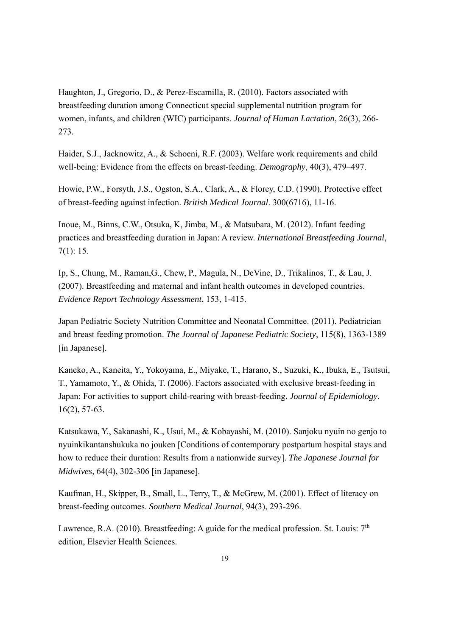Haughton, J., Gregorio, D., & Perez-Escamilla, R. (2010). Factors associated with breastfeeding duration among Connecticut special supplemental nutrition program for women, infants, and children (WIC) participants. *Journal of Human Lactation*, 26(3), 266- 273.

Haider, S.J., Jacknowitz, A., & Schoeni, R.F. (2003). Welfare work requirements and child well-being: Evidence from the effects on breast-feeding. *Demography*, 40(3), 479–497.

Howie, P.W., Forsyth, J.S., Ogston, S.A., Clark, A., & Florey, C.D. (1990). Protective effect of breast-feeding against infection. *British Medical Journal*. 300(6716), 11-16.

Inoue, M., Binns, C.W., Otsuka, K, Jimba, M., & Matsubara, M. (2012). Infant feeding practices and breastfeeding duration in Japan: A review. *International Breastfeeding Journal*, 7(1): 15.

Ip, S., Chung, M., Raman,G., Chew, P., Magula, N., DeVine, D., Trikalinos, T., & Lau, J. (2007). Breastfeeding and maternal and infant health outcomes in developed countries. *Evidence Report Technology Assessment*, 153, 1-415.

Japan Pediatric Society Nutrition Committee and Neonatal Committee. (2011). Pediatrician and breast feeding promotion. *The Journal of Japanese Pediatric Society*, 115(8), 1363-1389 [in Japanese].

Kaneko, A., Kaneita, Y., Yokoyama, E., Miyake, T., Harano, S., Suzuki, K., Ibuka, E., Tsutsui, T., Yamamoto, Y., & Ohida, T. (2006). Factors associated with exclusive breast-feeding in Japan: For activities to support child-rearing with breast-feeding. *Journal of Epidemiology*. 16(2), 57-63.

Katsukawa, Y., Sakanashi, K., Usui, M., & Kobayashi, M. (2010). Sanjoku nyuin no genjo to nyuinkikantanshukuka no jouken [Conditions of contemporary postpartum hospital stays and how to reduce their duration: Results from a nationwide survey]. *The Japanese Journal for Midwives*, 64(4), 302-306 [in Japanese].

Kaufman, H., Skipper, B., Small, L., Terry, T., & McGrew, M. (2001). Effect of literacy on breast-feeding outcomes. *Southern Medical Journal*, 94(3), 293-296.

Lawrence, R.A. (2010). Breastfeeding: A guide for the medical profession. St. Louis:  $7<sup>th</sup>$ edition, Elsevier Health Sciences.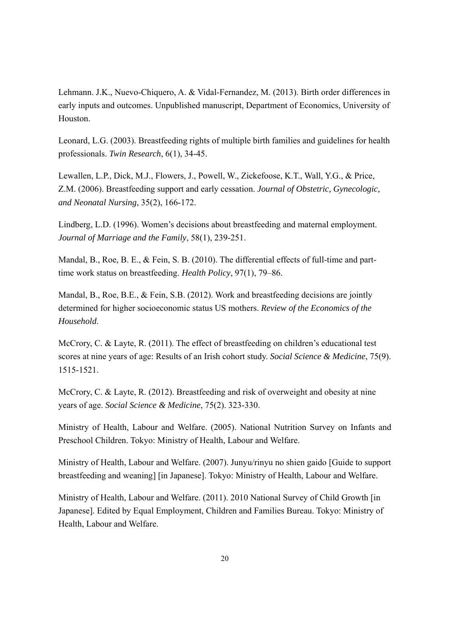Lehmann. J.K., Nuevo-Chiquero, A. & Vidal-Fernandez, M. (2013). Birth order differences in early inputs and outcomes. Unpublished manuscript, Department of Economics, University of Houston.

Leonard, L.G. (2003). Breastfeeding rights of multiple birth families and guidelines for health professionals. *Twin Research*, 6(1), 34-45.

Lewallen, L.P., Dick, M.J., Flowers, J., Powell, W., Zickefoose, K.T., Wall, Y.G., & Price, Z.M. (2006). Breastfeeding support and early cessation. *Journal of Obstetric, Gynecologic, and Neonatal Nursing*, 35(2), 166-172.

Lindberg, L.D. (1996). Women's decisions about breastfeeding and maternal employment. *Journal of Marriage and the Family*, 58(1), 239-251.

Mandal, B., Roe, B. E., & Fein, S. B. (2010). The differential effects of full-time and parttime work status on breastfeeding. *Health Policy*, 97(1), 79–86.

Mandal, B., Roe, B.E., & Fein, S.B. (2012). Work and breastfeeding decisions are jointly determined for higher socioeconomic status US mothers. *Review of the Economics of the Household*.

McCrory, C. & Layte, R. (2011). The effect of breastfeeding on children's educational test scores at nine years of age: Results of an Irish cohort study. *Social Science & Medicine*, 75(9). 1515-1521.

McCrory, C. & Layte, R. (2012). Breastfeeding and risk of overweight and obesity at nine years of age. *Social Science & Medicine*, 75(2). 323-330.

Ministry of Health, Labour and Welfare. (2005). National Nutrition Survey on Infants and Preschool Children. Tokyo: Ministry of Health, Labour and Welfare.

Ministry of Health, Labour and Welfare. (2007). Junyu/rinyu no shien gaido [Guide to support breastfeeding and weaning] [in Japanese]. Tokyo: Ministry of Health, Labour and Welfare.

Ministry of Health, Labour and Welfare. (2011). 2010 National Survey of Child Growth [in Japanese]. Edited by Equal Employment, Children and Families Bureau. Tokyo: Ministry of Health, Labour and Welfare.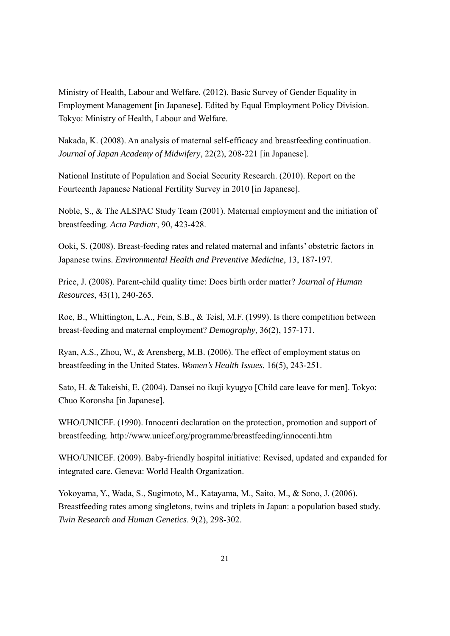Ministry of Health, Labour and Welfare. (2012). Basic Survey of Gender Equality in Employment Management [in Japanese]. Edited by Equal Employment Policy Division. Tokyo: Ministry of Health, Labour and Welfare.

Nakada, K. (2008). An analysis of maternal self-efficacy and breastfeeding continuation. *Journal of Japan Academy of Midwifery*, 22(2), 208-221 [in Japanese].

National Institute of Population and Social Security Research. (2010). Report on the Fourteenth Japanese National Fertility Survey in 2010 [in Japanese].

Noble, S., & The ALSPAC Study Team (2001). Maternal employment and the initiation of breastfeeding. *Acta Pædiatr*, 90, 423-428.

Ooki, S. (2008). Breast-feeding rates and related maternal and infants' obstetric factors in Japanese twins. *Environmental Health and Preventive Medicine*, 13, 187-197.

Price, J. (2008). Parent-child quality time: Does birth order matter? *Journal of Human Resources*, 43(1), 240-265.

Roe, B., Whittington, L.A., Fein, S.B., & Teisl, M.F. (1999). Is there competition between breast-feeding and maternal employment? *Demography*, 36(2), 157-171.

Ryan, A.S., Zhou, W., & Arensberg, M.B. (2006). The effect of employment status on breastfeeding in the United States. *Women's Health Issues*. 16(5), 243-251.

Sato, H. & Takeishi, E. (2004). Dansei no ikuji kyugyo [Child care leave for men]. Tokyo: Chuo Koronsha [in Japanese].

WHO/UNICEF. (1990). Innocenti declaration on the protection, promotion and support of breastfeeding. http://www.unicef.org/programme/breastfeeding/innocenti.htm

WHO/UNICEF. (2009). Baby-friendly hospital initiative: Revised, updated and expanded for integrated care. Geneva: World Health Organization.

Yokoyama, Y., Wada, S., Sugimoto, M., Katayama, M., Saito, M., & Sono, J. (2006). Breastfeeding rates among singletons, twins and triplets in Japan: a population based study. *Twin Research and Human Genetics*. 9(2), 298-302.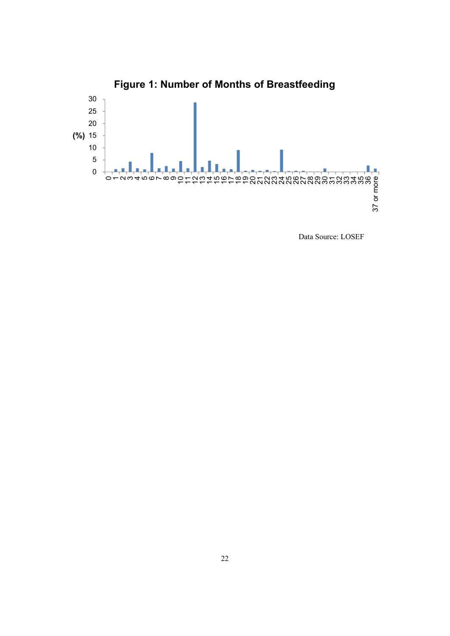

Data Source: LOSEF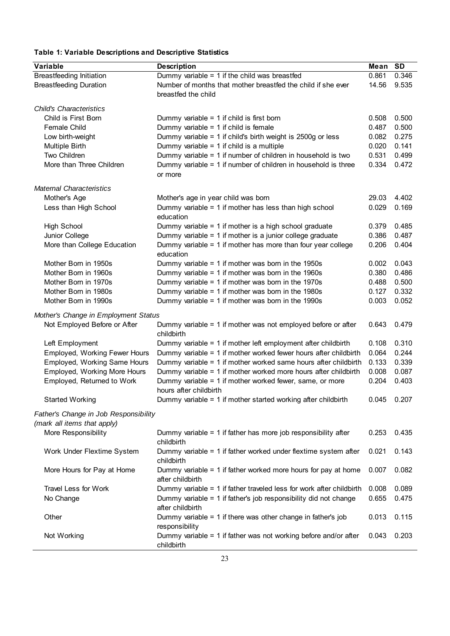### **Table 1: Variable Descriptions and Descriptive Statistics**

| <b>Description</b><br><b>SD</b><br>Mean<br>Dummy variable = $1$ if the child was breastfed<br><b>Breastfeeding Initiation</b><br>0.346<br>0.861<br><b>Breastfeeding Duration</b><br>Number of months that mother breastfed the child if she ever<br>9.535<br>14.56<br>breastfed the child<br>0.500<br>Child is First Born<br>0.508<br>Dummy variable = $1$ if child is first born<br>0.487<br>0.500<br>Female Child<br>Dummy variable = $1$ if child is female<br>Dummy variable = 1 if child's birth weight is 2500g or less<br>0.275<br>Low birth-weight<br>0.082<br>Multiple Birth<br>Dummy variable = $1$ if child is a multiple<br>0.020<br>0.141<br>0.499<br>Two Children<br>Dummy variable = 1 if number of children in household is two<br>0.531<br>More than Three Children<br>Dummy variable = 1 if number of children in household is three<br>0.334<br>0.472<br>or more<br><b>Maternal Characteristics</b><br>Mother's Age<br>4.402<br>Mother's age in year child was born<br>29.03<br>Dummy variable = $1$ if mother has less than high school<br>0.029<br>0.169<br>Less than High School<br>education<br>0.485<br><b>High School</b><br>Dummy variable = $1$ if mother is a high school graduate<br>0.379<br>Dummy variable = 1 if mother is a junior college graduate<br>0.386<br>0.487<br>Junior College<br>More than College Education<br>Dummy variable = 1 if mother has more than four year college<br>0.206<br>0.404<br>education<br>0.043<br>Mother Born in 1950s<br>Dummy variable = $1$ if mother was born in the 1950s<br>0.002<br>Dummy variable = $1$ if mother was born in the 1960s<br>0.486<br>Mother Born in 1960s<br>0.380<br>Dummy variable = $1$ if mother was born in the 1970s<br>0.500<br>Mother Born in 1970s<br>0.488<br>Dummy variable = $1$ if mother was born in the 1980s<br>0.127<br>0.332<br>Mother Born in 1980s<br>0.052<br>0.003<br>Mother Born in 1990s<br>Dummy variable = $1$ if mother was born in the 1990s<br>Mother's Change in Employment Status<br>Not Employed Before or After<br>Dummy variable = 1 if mother was not employed before or after<br>0.479<br>0.643<br>childbirth<br>0.310<br>Left Employment<br>Dummy variable = 1 if mother left employment after childbirth<br>0.108<br>Employed, Working Fewer Hours<br>Dummy variable = 1 if mother worked fewer hours after childbirth<br>0.064<br>0.244<br>Employed, Working Same Hours<br>Dummy variable = 1 if mother worked same hours after childbirth<br>0.133<br>0.339<br>Employed, Working More Hours<br>0.008<br>0.087<br>Dummy variable = 1 if mother worked more hours after childbirth<br>0.204<br>0.403<br>Employed, Returned to Work<br>Dummy variable = 1 if mother worked fewer, same, or more<br>hours after childbirth<br><b>Started Working</b><br>Dummy variable = 1 if mother started working after childbirth<br>0.045<br>0.207<br>Father's Change in Job Responsibility<br>(mark all items that apply)<br>More Responsibility<br>Dummy variable = 1 if father has more job responsibility after<br>0.253<br>0.435<br>childbirth<br>Work Under Flextime System<br>Dummy variable = 1 if father worked under flextime system after<br>0.021<br>0.143<br>childbirth<br>More Hours for Pay at Home<br>Dummy variable = 1 if father worked more hours for pay at home<br>0.007<br>0.082<br>after childbirth<br>Travel Less for Work<br>Dummy variable = $1$ if father traveled less for work after childbirth<br>0.008<br>0.089<br>Dummy variable = 1 if father's job responsibility did not change<br>No Change<br>0.655<br>0.475<br>after childbirth<br>Dummy variable = 1 if there was other change in father's job<br>Other<br>0.115<br>0.013<br>responsibility<br>Not Working<br>Dummy variable = 1 if father was not working before and/or after<br>0.043<br>0.203 |                                |            |  |
|----------------------------------------------------------------------------------------------------------------------------------------------------------------------------------------------------------------------------------------------------------------------------------------------------------------------------------------------------------------------------------------------------------------------------------------------------------------------------------------------------------------------------------------------------------------------------------------------------------------------------------------------------------------------------------------------------------------------------------------------------------------------------------------------------------------------------------------------------------------------------------------------------------------------------------------------------------------------------------------------------------------------------------------------------------------------------------------------------------------------------------------------------------------------------------------------------------------------------------------------------------------------------------------------------------------------------------------------------------------------------------------------------------------------------------------------------------------------------------------------------------------------------------------------------------------------------------------------------------------------------------------------------------------------------------------------------------------------------------------------------------------------------------------------------------------------------------------------------------------------------------------------------------------------------------------------------------------------------------------------------------------------------------------------------------------------------------------------------------------------------------------------------------------------------------------------------------------------------------------------------------------------------------------------------------------------------------------------------------------------------------------------------------------------------------------------------------------------------------------------------------------------------------------------------------------------------------------------------------------------------------------------------------------------------------------------------------------------------------------------------------------------------------------------------------------------------------------------------------------------------------------------------------------------------------------------------------------------------------------------------------------------------------------------------------------------------------------------------------------------------------------------------------------------------------------------------------------------------------------------------------------------------------------------------------------------------------------------------------------------------------------------------------------------------------------------------------------------------------------------------------------------------------------------------------------------------------------------------------------------------------------------------------------------------------------------------------------------------------------------------------------------------------------------------------|--------------------------------|------------|--|
|                                                                                                                                                                                                                                                                                                                                                                                                                                                                                                                                                                                                                                                                                                                                                                                                                                                                                                                                                                                                                                                                                                                                                                                                                                                                                                                                                                                                                                                                                                                                                                                                                                                                                                                                                                                                                                                                                                                                                                                                                                                                                                                                                                                                                                                                                                                                                                                                                                                                                                                                                                                                                                                                                                                                                                                                                                                                                                                                                                                                                                                                                                                                                                                                                                                                                                                                                                                                                                                                                                                                                                                                                                                                                                                                                                                                          | <b>Variable</b>                |            |  |
|                                                                                                                                                                                                                                                                                                                                                                                                                                                                                                                                                                                                                                                                                                                                                                                                                                                                                                                                                                                                                                                                                                                                                                                                                                                                                                                                                                                                                                                                                                                                                                                                                                                                                                                                                                                                                                                                                                                                                                                                                                                                                                                                                                                                                                                                                                                                                                                                                                                                                                                                                                                                                                                                                                                                                                                                                                                                                                                                                                                                                                                                                                                                                                                                                                                                                                                                                                                                                                                                                                                                                                                                                                                                                                                                                                                                          |                                |            |  |
|                                                                                                                                                                                                                                                                                                                                                                                                                                                                                                                                                                                                                                                                                                                                                                                                                                                                                                                                                                                                                                                                                                                                                                                                                                                                                                                                                                                                                                                                                                                                                                                                                                                                                                                                                                                                                                                                                                                                                                                                                                                                                                                                                                                                                                                                                                                                                                                                                                                                                                                                                                                                                                                                                                                                                                                                                                                                                                                                                                                                                                                                                                                                                                                                                                                                                                                                                                                                                                                                                                                                                                                                                                                                                                                                                                                                          |                                |            |  |
|                                                                                                                                                                                                                                                                                                                                                                                                                                                                                                                                                                                                                                                                                                                                                                                                                                                                                                                                                                                                                                                                                                                                                                                                                                                                                                                                                                                                                                                                                                                                                                                                                                                                                                                                                                                                                                                                                                                                                                                                                                                                                                                                                                                                                                                                                                                                                                                                                                                                                                                                                                                                                                                                                                                                                                                                                                                                                                                                                                                                                                                                                                                                                                                                                                                                                                                                                                                                                                                                                                                                                                                                                                                                                                                                                                                                          |                                |            |  |
|                                                                                                                                                                                                                                                                                                                                                                                                                                                                                                                                                                                                                                                                                                                                                                                                                                                                                                                                                                                                                                                                                                                                                                                                                                                                                                                                                                                                                                                                                                                                                                                                                                                                                                                                                                                                                                                                                                                                                                                                                                                                                                                                                                                                                                                                                                                                                                                                                                                                                                                                                                                                                                                                                                                                                                                                                                                                                                                                                                                                                                                                                                                                                                                                                                                                                                                                                                                                                                                                                                                                                                                                                                                                                                                                                                                                          | <b>Child's Characteristics</b> |            |  |
|                                                                                                                                                                                                                                                                                                                                                                                                                                                                                                                                                                                                                                                                                                                                                                                                                                                                                                                                                                                                                                                                                                                                                                                                                                                                                                                                                                                                                                                                                                                                                                                                                                                                                                                                                                                                                                                                                                                                                                                                                                                                                                                                                                                                                                                                                                                                                                                                                                                                                                                                                                                                                                                                                                                                                                                                                                                                                                                                                                                                                                                                                                                                                                                                                                                                                                                                                                                                                                                                                                                                                                                                                                                                                                                                                                                                          |                                |            |  |
|                                                                                                                                                                                                                                                                                                                                                                                                                                                                                                                                                                                                                                                                                                                                                                                                                                                                                                                                                                                                                                                                                                                                                                                                                                                                                                                                                                                                                                                                                                                                                                                                                                                                                                                                                                                                                                                                                                                                                                                                                                                                                                                                                                                                                                                                                                                                                                                                                                                                                                                                                                                                                                                                                                                                                                                                                                                                                                                                                                                                                                                                                                                                                                                                                                                                                                                                                                                                                                                                                                                                                                                                                                                                                                                                                                                                          |                                |            |  |
|                                                                                                                                                                                                                                                                                                                                                                                                                                                                                                                                                                                                                                                                                                                                                                                                                                                                                                                                                                                                                                                                                                                                                                                                                                                                                                                                                                                                                                                                                                                                                                                                                                                                                                                                                                                                                                                                                                                                                                                                                                                                                                                                                                                                                                                                                                                                                                                                                                                                                                                                                                                                                                                                                                                                                                                                                                                                                                                                                                                                                                                                                                                                                                                                                                                                                                                                                                                                                                                                                                                                                                                                                                                                                                                                                                                                          |                                |            |  |
|                                                                                                                                                                                                                                                                                                                                                                                                                                                                                                                                                                                                                                                                                                                                                                                                                                                                                                                                                                                                                                                                                                                                                                                                                                                                                                                                                                                                                                                                                                                                                                                                                                                                                                                                                                                                                                                                                                                                                                                                                                                                                                                                                                                                                                                                                                                                                                                                                                                                                                                                                                                                                                                                                                                                                                                                                                                                                                                                                                                                                                                                                                                                                                                                                                                                                                                                                                                                                                                                                                                                                                                                                                                                                                                                                                                                          |                                |            |  |
|                                                                                                                                                                                                                                                                                                                                                                                                                                                                                                                                                                                                                                                                                                                                                                                                                                                                                                                                                                                                                                                                                                                                                                                                                                                                                                                                                                                                                                                                                                                                                                                                                                                                                                                                                                                                                                                                                                                                                                                                                                                                                                                                                                                                                                                                                                                                                                                                                                                                                                                                                                                                                                                                                                                                                                                                                                                                                                                                                                                                                                                                                                                                                                                                                                                                                                                                                                                                                                                                                                                                                                                                                                                                                                                                                                                                          |                                |            |  |
|                                                                                                                                                                                                                                                                                                                                                                                                                                                                                                                                                                                                                                                                                                                                                                                                                                                                                                                                                                                                                                                                                                                                                                                                                                                                                                                                                                                                                                                                                                                                                                                                                                                                                                                                                                                                                                                                                                                                                                                                                                                                                                                                                                                                                                                                                                                                                                                                                                                                                                                                                                                                                                                                                                                                                                                                                                                                                                                                                                                                                                                                                                                                                                                                                                                                                                                                                                                                                                                                                                                                                                                                                                                                                                                                                                                                          |                                |            |  |
|                                                                                                                                                                                                                                                                                                                                                                                                                                                                                                                                                                                                                                                                                                                                                                                                                                                                                                                                                                                                                                                                                                                                                                                                                                                                                                                                                                                                                                                                                                                                                                                                                                                                                                                                                                                                                                                                                                                                                                                                                                                                                                                                                                                                                                                                                                                                                                                                                                                                                                                                                                                                                                                                                                                                                                                                                                                                                                                                                                                                                                                                                                                                                                                                                                                                                                                                                                                                                                                                                                                                                                                                                                                                                                                                                                                                          |                                |            |  |
|                                                                                                                                                                                                                                                                                                                                                                                                                                                                                                                                                                                                                                                                                                                                                                                                                                                                                                                                                                                                                                                                                                                                                                                                                                                                                                                                                                                                                                                                                                                                                                                                                                                                                                                                                                                                                                                                                                                                                                                                                                                                                                                                                                                                                                                                                                                                                                                                                                                                                                                                                                                                                                                                                                                                                                                                                                                                                                                                                                                                                                                                                                                                                                                                                                                                                                                                                                                                                                                                                                                                                                                                                                                                                                                                                                                                          |                                |            |  |
|                                                                                                                                                                                                                                                                                                                                                                                                                                                                                                                                                                                                                                                                                                                                                                                                                                                                                                                                                                                                                                                                                                                                                                                                                                                                                                                                                                                                                                                                                                                                                                                                                                                                                                                                                                                                                                                                                                                                                                                                                                                                                                                                                                                                                                                                                                                                                                                                                                                                                                                                                                                                                                                                                                                                                                                                                                                                                                                                                                                                                                                                                                                                                                                                                                                                                                                                                                                                                                                                                                                                                                                                                                                                                                                                                                                                          |                                |            |  |
|                                                                                                                                                                                                                                                                                                                                                                                                                                                                                                                                                                                                                                                                                                                                                                                                                                                                                                                                                                                                                                                                                                                                                                                                                                                                                                                                                                                                                                                                                                                                                                                                                                                                                                                                                                                                                                                                                                                                                                                                                                                                                                                                                                                                                                                                                                                                                                                                                                                                                                                                                                                                                                                                                                                                                                                                                                                                                                                                                                                                                                                                                                                                                                                                                                                                                                                                                                                                                                                                                                                                                                                                                                                                                                                                                                                                          |                                |            |  |
|                                                                                                                                                                                                                                                                                                                                                                                                                                                                                                                                                                                                                                                                                                                                                                                                                                                                                                                                                                                                                                                                                                                                                                                                                                                                                                                                                                                                                                                                                                                                                                                                                                                                                                                                                                                                                                                                                                                                                                                                                                                                                                                                                                                                                                                                                                                                                                                                                                                                                                                                                                                                                                                                                                                                                                                                                                                                                                                                                                                                                                                                                                                                                                                                                                                                                                                                                                                                                                                                                                                                                                                                                                                                                                                                                                                                          |                                |            |  |
|                                                                                                                                                                                                                                                                                                                                                                                                                                                                                                                                                                                                                                                                                                                                                                                                                                                                                                                                                                                                                                                                                                                                                                                                                                                                                                                                                                                                                                                                                                                                                                                                                                                                                                                                                                                                                                                                                                                                                                                                                                                                                                                                                                                                                                                                                                                                                                                                                                                                                                                                                                                                                                                                                                                                                                                                                                                                                                                                                                                                                                                                                                                                                                                                                                                                                                                                                                                                                                                                                                                                                                                                                                                                                                                                                                                                          |                                |            |  |
|                                                                                                                                                                                                                                                                                                                                                                                                                                                                                                                                                                                                                                                                                                                                                                                                                                                                                                                                                                                                                                                                                                                                                                                                                                                                                                                                                                                                                                                                                                                                                                                                                                                                                                                                                                                                                                                                                                                                                                                                                                                                                                                                                                                                                                                                                                                                                                                                                                                                                                                                                                                                                                                                                                                                                                                                                                                                                                                                                                                                                                                                                                                                                                                                                                                                                                                                                                                                                                                                                                                                                                                                                                                                                                                                                                                                          |                                |            |  |
|                                                                                                                                                                                                                                                                                                                                                                                                                                                                                                                                                                                                                                                                                                                                                                                                                                                                                                                                                                                                                                                                                                                                                                                                                                                                                                                                                                                                                                                                                                                                                                                                                                                                                                                                                                                                                                                                                                                                                                                                                                                                                                                                                                                                                                                                                                                                                                                                                                                                                                                                                                                                                                                                                                                                                                                                                                                                                                                                                                                                                                                                                                                                                                                                                                                                                                                                                                                                                                                                                                                                                                                                                                                                                                                                                                                                          |                                |            |  |
|                                                                                                                                                                                                                                                                                                                                                                                                                                                                                                                                                                                                                                                                                                                                                                                                                                                                                                                                                                                                                                                                                                                                                                                                                                                                                                                                                                                                                                                                                                                                                                                                                                                                                                                                                                                                                                                                                                                                                                                                                                                                                                                                                                                                                                                                                                                                                                                                                                                                                                                                                                                                                                                                                                                                                                                                                                                                                                                                                                                                                                                                                                                                                                                                                                                                                                                                                                                                                                                                                                                                                                                                                                                                                                                                                                                                          |                                |            |  |
|                                                                                                                                                                                                                                                                                                                                                                                                                                                                                                                                                                                                                                                                                                                                                                                                                                                                                                                                                                                                                                                                                                                                                                                                                                                                                                                                                                                                                                                                                                                                                                                                                                                                                                                                                                                                                                                                                                                                                                                                                                                                                                                                                                                                                                                                                                                                                                                                                                                                                                                                                                                                                                                                                                                                                                                                                                                                                                                                                                                                                                                                                                                                                                                                                                                                                                                                                                                                                                                                                                                                                                                                                                                                                                                                                                                                          |                                |            |  |
|                                                                                                                                                                                                                                                                                                                                                                                                                                                                                                                                                                                                                                                                                                                                                                                                                                                                                                                                                                                                                                                                                                                                                                                                                                                                                                                                                                                                                                                                                                                                                                                                                                                                                                                                                                                                                                                                                                                                                                                                                                                                                                                                                                                                                                                                                                                                                                                                                                                                                                                                                                                                                                                                                                                                                                                                                                                                                                                                                                                                                                                                                                                                                                                                                                                                                                                                                                                                                                                                                                                                                                                                                                                                                                                                                                                                          |                                |            |  |
|                                                                                                                                                                                                                                                                                                                                                                                                                                                                                                                                                                                                                                                                                                                                                                                                                                                                                                                                                                                                                                                                                                                                                                                                                                                                                                                                                                                                                                                                                                                                                                                                                                                                                                                                                                                                                                                                                                                                                                                                                                                                                                                                                                                                                                                                                                                                                                                                                                                                                                                                                                                                                                                                                                                                                                                                                                                                                                                                                                                                                                                                                                                                                                                                                                                                                                                                                                                                                                                                                                                                                                                                                                                                                                                                                                                                          |                                |            |  |
|                                                                                                                                                                                                                                                                                                                                                                                                                                                                                                                                                                                                                                                                                                                                                                                                                                                                                                                                                                                                                                                                                                                                                                                                                                                                                                                                                                                                                                                                                                                                                                                                                                                                                                                                                                                                                                                                                                                                                                                                                                                                                                                                                                                                                                                                                                                                                                                                                                                                                                                                                                                                                                                                                                                                                                                                                                                                                                                                                                                                                                                                                                                                                                                                                                                                                                                                                                                                                                                                                                                                                                                                                                                                                                                                                                                                          |                                |            |  |
|                                                                                                                                                                                                                                                                                                                                                                                                                                                                                                                                                                                                                                                                                                                                                                                                                                                                                                                                                                                                                                                                                                                                                                                                                                                                                                                                                                                                                                                                                                                                                                                                                                                                                                                                                                                                                                                                                                                                                                                                                                                                                                                                                                                                                                                                                                                                                                                                                                                                                                                                                                                                                                                                                                                                                                                                                                                                                                                                                                                                                                                                                                                                                                                                                                                                                                                                                                                                                                                                                                                                                                                                                                                                                                                                                                                                          |                                |            |  |
|                                                                                                                                                                                                                                                                                                                                                                                                                                                                                                                                                                                                                                                                                                                                                                                                                                                                                                                                                                                                                                                                                                                                                                                                                                                                                                                                                                                                                                                                                                                                                                                                                                                                                                                                                                                                                                                                                                                                                                                                                                                                                                                                                                                                                                                                                                                                                                                                                                                                                                                                                                                                                                                                                                                                                                                                                                                                                                                                                                                                                                                                                                                                                                                                                                                                                                                                                                                                                                                                                                                                                                                                                                                                                                                                                                                                          |                                |            |  |
|                                                                                                                                                                                                                                                                                                                                                                                                                                                                                                                                                                                                                                                                                                                                                                                                                                                                                                                                                                                                                                                                                                                                                                                                                                                                                                                                                                                                                                                                                                                                                                                                                                                                                                                                                                                                                                                                                                                                                                                                                                                                                                                                                                                                                                                                                                                                                                                                                                                                                                                                                                                                                                                                                                                                                                                                                                                                                                                                                                                                                                                                                                                                                                                                                                                                                                                                                                                                                                                                                                                                                                                                                                                                                                                                                                                                          |                                |            |  |
|                                                                                                                                                                                                                                                                                                                                                                                                                                                                                                                                                                                                                                                                                                                                                                                                                                                                                                                                                                                                                                                                                                                                                                                                                                                                                                                                                                                                                                                                                                                                                                                                                                                                                                                                                                                                                                                                                                                                                                                                                                                                                                                                                                                                                                                                                                                                                                                                                                                                                                                                                                                                                                                                                                                                                                                                                                                                                                                                                                                                                                                                                                                                                                                                                                                                                                                                                                                                                                                                                                                                                                                                                                                                                                                                                                                                          |                                |            |  |
|                                                                                                                                                                                                                                                                                                                                                                                                                                                                                                                                                                                                                                                                                                                                                                                                                                                                                                                                                                                                                                                                                                                                                                                                                                                                                                                                                                                                                                                                                                                                                                                                                                                                                                                                                                                                                                                                                                                                                                                                                                                                                                                                                                                                                                                                                                                                                                                                                                                                                                                                                                                                                                                                                                                                                                                                                                                                                                                                                                                                                                                                                                                                                                                                                                                                                                                                                                                                                                                                                                                                                                                                                                                                                                                                                                                                          |                                |            |  |
|                                                                                                                                                                                                                                                                                                                                                                                                                                                                                                                                                                                                                                                                                                                                                                                                                                                                                                                                                                                                                                                                                                                                                                                                                                                                                                                                                                                                                                                                                                                                                                                                                                                                                                                                                                                                                                                                                                                                                                                                                                                                                                                                                                                                                                                                                                                                                                                                                                                                                                                                                                                                                                                                                                                                                                                                                                                                                                                                                                                                                                                                                                                                                                                                                                                                                                                                                                                                                                                                                                                                                                                                                                                                                                                                                                                                          |                                |            |  |
|                                                                                                                                                                                                                                                                                                                                                                                                                                                                                                                                                                                                                                                                                                                                                                                                                                                                                                                                                                                                                                                                                                                                                                                                                                                                                                                                                                                                                                                                                                                                                                                                                                                                                                                                                                                                                                                                                                                                                                                                                                                                                                                                                                                                                                                                                                                                                                                                                                                                                                                                                                                                                                                                                                                                                                                                                                                                                                                                                                                                                                                                                                                                                                                                                                                                                                                                                                                                                                                                                                                                                                                                                                                                                                                                                                                                          |                                |            |  |
|                                                                                                                                                                                                                                                                                                                                                                                                                                                                                                                                                                                                                                                                                                                                                                                                                                                                                                                                                                                                                                                                                                                                                                                                                                                                                                                                                                                                                                                                                                                                                                                                                                                                                                                                                                                                                                                                                                                                                                                                                                                                                                                                                                                                                                                                                                                                                                                                                                                                                                                                                                                                                                                                                                                                                                                                                                                                                                                                                                                                                                                                                                                                                                                                                                                                                                                                                                                                                                                                                                                                                                                                                                                                                                                                                                                                          |                                |            |  |
|                                                                                                                                                                                                                                                                                                                                                                                                                                                                                                                                                                                                                                                                                                                                                                                                                                                                                                                                                                                                                                                                                                                                                                                                                                                                                                                                                                                                                                                                                                                                                                                                                                                                                                                                                                                                                                                                                                                                                                                                                                                                                                                                                                                                                                                                                                                                                                                                                                                                                                                                                                                                                                                                                                                                                                                                                                                                                                                                                                                                                                                                                                                                                                                                                                                                                                                                                                                                                                                                                                                                                                                                                                                                                                                                                                                                          |                                |            |  |
|                                                                                                                                                                                                                                                                                                                                                                                                                                                                                                                                                                                                                                                                                                                                                                                                                                                                                                                                                                                                                                                                                                                                                                                                                                                                                                                                                                                                                                                                                                                                                                                                                                                                                                                                                                                                                                                                                                                                                                                                                                                                                                                                                                                                                                                                                                                                                                                                                                                                                                                                                                                                                                                                                                                                                                                                                                                                                                                                                                                                                                                                                                                                                                                                                                                                                                                                                                                                                                                                                                                                                                                                                                                                                                                                                                                                          |                                |            |  |
|                                                                                                                                                                                                                                                                                                                                                                                                                                                                                                                                                                                                                                                                                                                                                                                                                                                                                                                                                                                                                                                                                                                                                                                                                                                                                                                                                                                                                                                                                                                                                                                                                                                                                                                                                                                                                                                                                                                                                                                                                                                                                                                                                                                                                                                                                                                                                                                                                                                                                                                                                                                                                                                                                                                                                                                                                                                                                                                                                                                                                                                                                                                                                                                                                                                                                                                                                                                                                                                                                                                                                                                                                                                                                                                                                                                                          |                                |            |  |
|                                                                                                                                                                                                                                                                                                                                                                                                                                                                                                                                                                                                                                                                                                                                                                                                                                                                                                                                                                                                                                                                                                                                                                                                                                                                                                                                                                                                                                                                                                                                                                                                                                                                                                                                                                                                                                                                                                                                                                                                                                                                                                                                                                                                                                                                                                                                                                                                                                                                                                                                                                                                                                                                                                                                                                                                                                                                                                                                                                                                                                                                                                                                                                                                                                                                                                                                                                                                                                                                                                                                                                                                                                                                                                                                                                                                          |                                |            |  |
|                                                                                                                                                                                                                                                                                                                                                                                                                                                                                                                                                                                                                                                                                                                                                                                                                                                                                                                                                                                                                                                                                                                                                                                                                                                                                                                                                                                                                                                                                                                                                                                                                                                                                                                                                                                                                                                                                                                                                                                                                                                                                                                                                                                                                                                                                                                                                                                                                                                                                                                                                                                                                                                                                                                                                                                                                                                                                                                                                                                                                                                                                                                                                                                                                                                                                                                                                                                                                                                                                                                                                                                                                                                                                                                                                                                                          |                                |            |  |
|                                                                                                                                                                                                                                                                                                                                                                                                                                                                                                                                                                                                                                                                                                                                                                                                                                                                                                                                                                                                                                                                                                                                                                                                                                                                                                                                                                                                                                                                                                                                                                                                                                                                                                                                                                                                                                                                                                                                                                                                                                                                                                                                                                                                                                                                                                                                                                                                                                                                                                                                                                                                                                                                                                                                                                                                                                                                                                                                                                                                                                                                                                                                                                                                                                                                                                                                                                                                                                                                                                                                                                                                                                                                                                                                                                                                          |                                |            |  |
|                                                                                                                                                                                                                                                                                                                                                                                                                                                                                                                                                                                                                                                                                                                                                                                                                                                                                                                                                                                                                                                                                                                                                                                                                                                                                                                                                                                                                                                                                                                                                                                                                                                                                                                                                                                                                                                                                                                                                                                                                                                                                                                                                                                                                                                                                                                                                                                                                                                                                                                                                                                                                                                                                                                                                                                                                                                                                                                                                                                                                                                                                                                                                                                                                                                                                                                                                                                                                                                                                                                                                                                                                                                                                                                                                                                                          |                                |            |  |
|                                                                                                                                                                                                                                                                                                                                                                                                                                                                                                                                                                                                                                                                                                                                                                                                                                                                                                                                                                                                                                                                                                                                                                                                                                                                                                                                                                                                                                                                                                                                                                                                                                                                                                                                                                                                                                                                                                                                                                                                                                                                                                                                                                                                                                                                                                                                                                                                                                                                                                                                                                                                                                                                                                                                                                                                                                                                                                                                                                                                                                                                                                                                                                                                                                                                                                                                                                                                                                                                                                                                                                                                                                                                                                                                                                                                          |                                |            |  |
|                                                                                                                                                                                                                                                                                                                                                                                                                                                                                                                                                                                                                                                                                                                                                                                                                                                                                                                                                                                                                                                                                                                                                                                                                                                                                                                                                                                                                                                                                                                                                                                                                                                                                                                                                                                                                                                                                                                                                                                                                                                                                                                                                                                                                                                                                                                                                                                                                                                                                                                                                                                                                                                                                                                                                                                                                                                                                                                                                                                                                                                                                                                                                                                                                                                                                                                                                                                                                                                                                                                                                                                                                                                                                                                                                                                                          |                                |            |  |
|                                                                                                                                                                                                                                                                                                                                                                                                                                                                                                                                                                                                                                                                                                                                                                                                                                                                                                                                                                                                                                                                                                                                                                                                                                                                                                                                                                                                                                                                                                                                                                                                                                                                                                                                                                                                                                                                                                                                                                                                                                                                                                                                                                                                                                                                                                                                                                                                                                                                                                                                                                                                                                                                                                                                                                                                                                                                                                                                                                                                                                                                                                                                                                                                                                                                                                                                                                                                                                                                                                                                                                                                                                                                                                                                                                                                          |                                |            |  |
|                                                                                                                                                                                                                                                                                                                                                                                                                                                                                                                                                                                                                                                                                                                                                                                                                                                                                                                                                                                                                                                                                                                                                                                                                                                                                                                                                                                                                                                                                                                                                                                                                                                                                                                                                                                                                                                                                                                                                                                                                                                                                                                                                                                                                                                                                                                                                                                                                                                                                                                                                                                                                                                                                                                                                                                                                                                                                                                                                                                                                                                                                                                                                                                                                                                                                                                                                                                                                                                                                                                                                                                                                                                                                                                                                                                                          |                                |            |  |
|                                                                                                                                                                                                                                                                                                                                                                                                                                                                                                                                                                                                                                                                                                                                                                                                                                                                                                                                                                                                                                                                                                                                                                                                                                                                                                                                                                                                                                                                                                                                                                                                                                                                                                                                                                                                                                                                                                                                                                                                                                                                                                                                                                                                                                                                                                                                                                                                                                                                                                                                                                                                                                                                                                                                                                                                                                                                                                                                                                                                                                                                                                                                                                                                                                                                                                                                                                                                                                                                                                                                                                                                                                                                                                                                                                                                          |                                |            |  |
|                                                                                                                                                                                                                                                                                                                                                                                                                                                                                                                                                                                                                                                                                                                                                                                                                                                                                                                                                                                                                                                                                                                                                                                                                                                                                                                                                                                                                                                                                                                                                                                                                                                                                                                                                                                                                                                                                                                                                                                                                                                                                                                                                                                                                                                                                                                                                                                                                                                                                                                                                                                                                                                                                                                                                                                                                                                                                                                                                                                                                                                                                                                                                                                                                                                                                                                                                                                                                                                                                                                                                                                                                                                                                                                                                                                                          |                                |            |  |
|                                                                                                                                                                                                                                                                                                                                                                                                                                                                                                                                                                                                                                                                                                                                                                                                                                                                                                                                                                                                                                                                                                                                                                                                                                                                                                                                                                                                                                                                                                                                                                                                                                                                                                                                                                                                                                                                                                                                                                                                                                                                                                                                                                                                                                                                                                                                                                                                                                                                                                                                                                                                                                                                                                                                                                                                                                                                                                                                                                                                                                                                                                                                                                                                                                                                                                                                                                                                                                                                                                                                                                                                                                                                                                                                                                                                          |                                |            |  |
|                                                                                                                                                                                                                                                                                                                                                                                                                                                                                                                                                                                                                                                                                                                                                                                                                                                                                                                                                                                                                                                                                                                                                                                                                                                                                                                                                                                                                                                                                                                                                                                                                                                                                                                                                                                                                                                                                                                                                                                                                                                                                                                                                                                                                                                                                                                                                                                                                                                                                                                                                                                                                                                                                                                                                                                                                                                                                                                                                                                                                                                                                                                                                                                                                                                                                                                                                                                                                                                                                                                                                                                                                                                                                                                                                                                                          |                                |            |  |
|                                                                                                                                                                                                                                                                                                                                                                                                                                                                                                                                                                                                                                                                                                                                                                                                                                                                                                                                                                                                                                                                                                                                                                                                                                                                                                                                                                                                                                                                                                                                                                                                                                                                                                                                                                                                                                                                                                                                                                                                                                                                                                                                                                                                                                                                                                                                                                                                                                                                                                                                                                                                                                                                                                                                                                                                                                                                                                                                                                                                                                                                                                                                                                                                                                                                                                                                                                                                                                                                                                                                                                                                                                                                                                                                                                                                          |                                |            |  |
|                                                                                                                                                                                                                                                                                                                                                                                                                                                                                                                                                                                                                                                                                                                                                                                                                                                                                                                                                                                                                                                                                                                                                                                                                                                                                                                                                                                                                                                                                                                                                                                                                                                                                                                                                                                                                                                                                                                                                                                                                                                                                                                                                                                                                                                                                                                                                                                                                                                                                                                                                                                                                                                                                                                                                                                                                                                                                                                                                                                                                                                                                                                                                                                                                                                                                                                                                                                                                                                                                                                                                                                                                                                                                                                                                                                                          |                                |            |  |
|                                                                                                                                                                                                                                                                                                                                                                                                                                                                                                                                                                                                                                                                                                                                                                                                                                                                                                                                                                                                                                                                                                                                                                                                                                                                                                                                                                                                                                                                                                                                                                                                                                                                                                                                                                                                                                                                                                                                                                                                                                                                                                                                                                                                                                                                                                                                                                                                                                                                                                                                                                                                                                                                                                                                                                                                                                                                                                                                                                                                                                                                                                                                                                                                                                                                                                                                                                                                                                                                                                                                                                                                                                                                                                                                                                                                          |                                |            |  |
|                                                                                                                                                                                                                                                                                                                                                                                                                                                                                                                                                                                                                                                                                                                                                                                                                                                                                                                                                                                                                                                                                                                                                                                                                                                                                                                                                                                                                                                                                                                                                                                                                                                                                                                                                                                                                                                                                                                                                                                                                                                                                                                                                                                                                                                                                                                                                                                                                                                                                                                                                                                                                                                                                                                                                                                                                                                                                                                                                                                                                                                                                                                                                                                                                                                                                                                                                                                                                                                                                                                                                                                                                                                                                                                                                                                                          |                                | childbirth |  |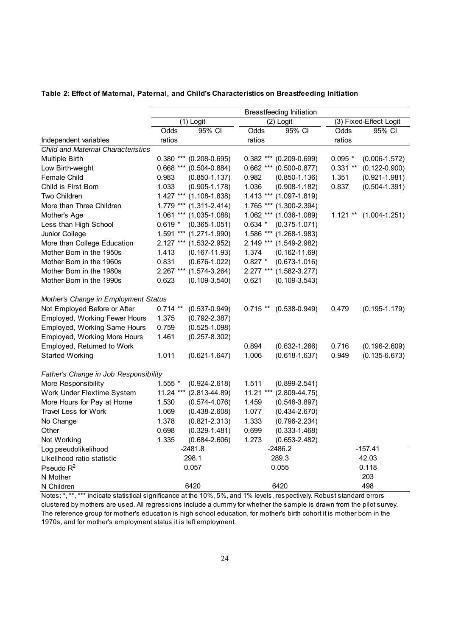|                                           | <b>Breastfeeding Initiation</b> |                             |            |                               |                        |                   |  |
|-------------------------------------------|---------------------------------|-----------------------------|------------|-------------------------------|------------------------|-------------------|--|
|                                           | (1) Logit                       |                             | (2) Logit  |                               | (3) Fixed-Effect Logit |                   |  |
|                                           | Odds                            | 95% CI                      | Odds       | 95% CI                        | Odds                   | 95% CI            |  |
| Independent variables                     | ratios                          |                             | ratios     |                               | ratios                 |                   |  |
| <b>Child and Maternal Characteristics</b> |                                 |                             |            |                               |                        |                   |  |
| Multiple Birth                            |                                 | $0.380$ *** (0.208-0.695)   |            | $0.382$ *** $(0.209 - 0.699)$ | $0.095*$               | $(0.006 - 1.572)$ |  |
| Low Birth-weight                          | $0.668***$                      | $(0.504 - 0.884)$           |            | $0.662$ *** $(0.500 - 0.877)$ | $0.331**$              | $(0.122 - 0.900)$ |  |
| Female Child                              | 0.983                           | $(0.850 - 1.137)$           | 0.982      | $(0.850 - 1.136)$             | 1.351                  | $(0.921 - 1.981)$ |  |
| Child is First Born                       | 1.033                           | $(0.905 - 1.178)$           | 1.036      | $(0.908 - 1.182)$             | 0.837                  | $(0.504 - 1.391)$ |  |
| Two Children                              | $1.427***$                      | $(1.108 - 1.838)$           |            | $1.413$ *** (1.097-1.819)     |                        |                   |  |
| More than Three Children                  |                                 | 1.779 *** (1.311-2.414)     |            | 1.765 *** (1.300-2.394)       |                        |                   |  |
| Mother's Age                              |                                 | $1.061$ *** $(1.035-1.088)$ |            | $1.062$ *** $(1.036-1.089)$   | $1.121**$              | $(1.004 - 1.251)$ |  |
| Less than High School                     | $0.619*$                        | $(0.365 - 1.051)$           | $0.634*$   | $(0.375 - 1.071)$             |                        |                   |  |
| Junior College                            | $1.591***$                      | $(1.271 - 1.990)$           |            | 1.586 *** (1.268-1.983)       |                        |                   |  |
| More than College Education               | $2.127***$                      | $(1.532 - 2.952)$           |            | 2.149 *** (1.549-2.982)       |                        |                   |  |
| Mother Born in the 1950s                  | 1.413                           | $(0.167 - 11.93)$           | 1.374      | $(0.162 - 11.69)$             |                        |                   |  |
| Mother Born in the 1960s                  | 0.831                           | $(0.676 - 1.022)$           | $0.827 *$  | $(0.673 - 1.016)$             |                        |                   |  |
| Mother Born in the 1980s                  | $2.267***$                      | $(1.574 - 3.264)$           | $2.277***$ | $(1.582 - 3.277)$             |                        |                   |  |
| Mother Born in the 1990s                  | 0.623                           | $(0.109 - 3.540)$           | 0.621      | $(0.109 - 3.543)$             |                        |                   |  |
| Mother's Change in Employment Status      |                                 |                             |            |                               |                        |                   |  |
| Not Employed Before or After              | $0.714$ **                      | $(0.537 - 0.949)$           | $0.715**$  | $(0.538 - 0.949)$             | 0.479                  | $(0.195 - 1.179)$ |  |
| Employed, Working Fewer Hours             | 1.375                           | $(0.792 - 2.387)$           |            |                               |                        |                   |  |
| Employed, Working Same Hours              | 0.759                           | $(0.525 - 1.098)$           |            |                               |                        |                   |  |
| Employed, Working More Hours              | 1.461                           | $(0.257 - 8.302)$           |            |                               |                        |                   |  |
| Employed, Returned to Work                |                                 |                             | 0.894      | $(0.632 - 1.266)$             | 0.716                  | $(0.196 - 2.609)$ |  |
| <b>Started Working</b>                    | 1.011                           | $(0.621 - 1.647)$           | 1.006      | $(0.618 - 1.637)$             | 0.949                  | $(0.135 - 6.673)$ |  |
|                                           |                                 |                             |            |                               |                        |                   |  |
| Father's Change in Job Responsibility     |                                 |                             |            |                               |                        |                   |  |
| More Responsibility                       | $1.555$ *                       | $(0.924 - 2.618)$           | 1.511      | $(0.899 - 2.541)$             |                        |                   |  |
| Work Under Flextime System                | 11.24 ***                       | $(2.813 - 44.89)$           | 11.21 ***  | $(2.809 - 44.75)$             |                        |                   |  |
| More Hours for Pay at Home                | 1.530                           | $(0.574 - 4.076)$           | 1.459      | $(0.546 - 3.897)$             |                        |                   |  |
| <b>Travel Less for Work</b>               | 1.069                           | $(0.438 - 2.608)$           | 1.077      | $(0.434 - 2.670)$             |                        |                   |  |
| No Change                                 | 1.378                           | $(0.821 - 2.313)$           | 1.333      | $(0.796 - 2.234)$             |                        |                   |  |
| Other                                     | 0.698                           | $(0.329 - 1.481)$           | 0.699      | $(0.333 - 1.468)$             |                        |                   |  |
| Not Working                               | 1.335                           | $(0.684 - 2.606)$           | 1.273      | $(0.653 - 2.482)$             |                        |                   |  |
| Log pseudolikelihood                      |                                 | $-2481.8$                   |            | $-2486.2$                     |                        | $-157.41$         |  |
| Likelihood ratio statistic                |                                 | 298.1                       |            | 289.3                         |                        | 42.03             |  |
| Pseudo $R^2$                              |                                 | 0.057                       |            | 0.055                         |                        | 0.118             |  |
| N Mother                                  |                                 |                             |            |                               |                        | 203               |  |
| N Children                                |                                 | 6420                        |            | 6420                          |                        | 498               |  |

#### **Table 2: Effect of Maternal, Paternal, and Child's Characteristics on Breastfeeding Initiation**

Notes: \*, \*\*, \*\*\* indicate statistical significance at the 10%, 5%, and 1% levels, respectively. Robust standard errors clustered by mothers are used. All regressions include a dummy for whether the sample is drawn from the pilot survey. The reference group for mother's education is high school education, for mother's birth cohort it is mother born in the 1970s, and for mother's employment status it is left employment.